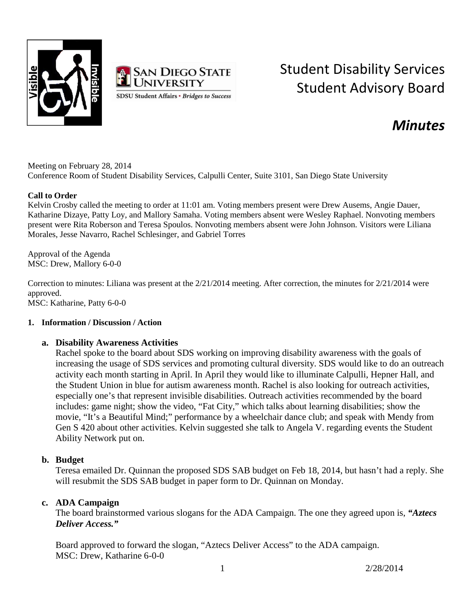



# Student Disability Services Student Advisory Board

# *Minutes*

Meeting on February 28, 2014 Conference Room of Student Disability Services, Calpulli Center, Suite 3101, San Diego State University

#### **Call to Order**

Kelvin Crosby called the meeting to order at 11:01 am. Voting members present were Drew Ausems, Angie Dauer, Katharine Dizaye, Patty Loy, and Mallory Samaha. Voting members absent were Wesley Raphael. Nonvoting members present were Rita Roberson and Teresa Spoulos. Nonvoting members absent were John Johnson. Visitors were Liliana Morales, Jesse Navarro, Rachel Schlesinger, and Gabriel Torres

Approval of the Agenda MSC: Drew, Mallory 6-0-0

Correction to minutes: Liliana was present at the 2/21/2014 meeting. After correction, the minutes for 2/21/2014 were approved. MSC: Katharine, Patty 6-0-0

#### **1. Information / Discussion / Action**

#### **a. Disability Awareness Activities**

Rachel spoke to the board about SDS working on improving disability awareness with the goals of increasing the usage of SDS services and promoting cultural diversity. SDS would like to do an outreach activity each month starting in April. In April they would like to illuminate Calpulli, Hepner Hall, and the Student Union in blue for autism awareness month. Rachel is also looking for outreach activities, especially one's that represent invisible disabilities. Outreach activities recommended by the board includes: game night; show the video, "Fat City," which talks about learning disabilities; show the movie, "It's a Beautiful Mind;" performance by a wheelchair dance club; and speak with Mendy from Gen S 420 about other activities. Kelvin suggested she talk to Angela V. regarding events the Student Ability Network put on.

#### **b. Budget**

Teresa emailed Dr. Quinnan the proposed SDS SAB budget on Feb 18, 2014, but hasn't had a reply. She will resubmit the SDS SAB budget in paper form to Dr. Quinnan on Monday.

#### **c. ADA Campaign**

The board brainstormed various slogans for the ADA Campaign. The one they agreed upon is, *"Aztecs Deliver Access."*

Board approved to forward the slogan, "Aztecs Deliver Access" to the ADA campaign. MSC: Drew, Katharine 6-0-0